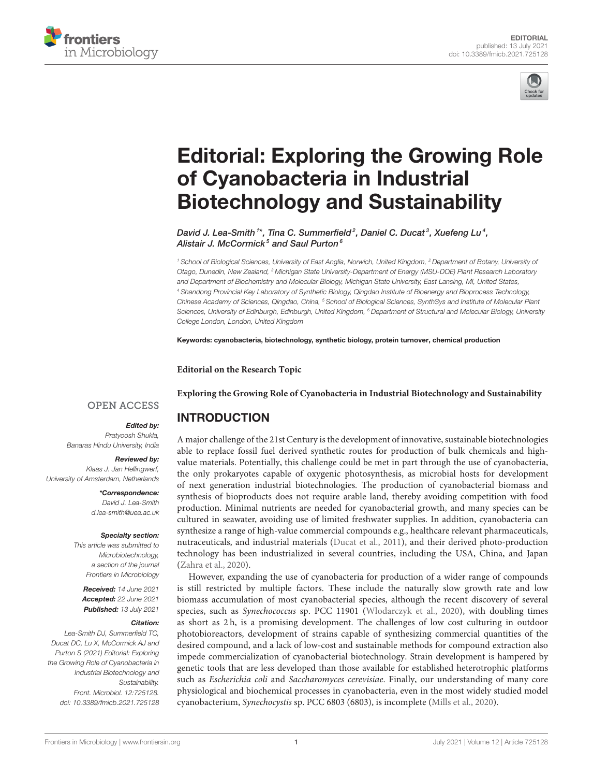



# [Editorial: Exploring the Growing Role](https://www.frontiersin.org/articles/10.3389/fmicb.2021.725128/full) of Cyanobacteria in Industrial Biotechnology and Sustainability

David J. Lea-Smith  $1^*$ , Tina C. Summerfield<sup>2</sup>, Daniel C. Ducat<sup>3</sup>, Xuefeng Lu<sup>4</sup>, Alistair J. McCormick<sup>5</sup> and Saul Purton<sup>6</sup>

*<sup>1</sup> School of Biological Sciences, University of East Anglia, Norwich, United Kingdom, <sup>2</sup> Department of Botany, University of Otago, Dunedin, New Zealand, <sup>3</sup> Michigan State University-Department of Energy (MSU-DOE) Plant Research Laboratory and Department of Biochemistry and Molecular Biology, Michigan State University, East Lansing, MI, United States, <sup>4</sup> Shandong Provincial Key Laboratory of Synthetic Biology, Qingdao Institute of Bioenergy and Bioprocess Technology, Chinese Academy of Sciences, Qingdao, China, <sup>5</sup> School of Biological Sciences, SynthSys and Institute of Molecular Plant Sciences, University of Edinburgh, Edinburgh, United Kingdom, <sup>6</sup> Department of Structural and Molecular Biology, University College London, London, United Kingdom*

Keywords: cyanobacteria, biotechnology, synthetic biology, protein turnover, chemical production

**Editorial on the Research Topic**

**[Exploring the Growing Role of Cyanobacteria in Industrial Biotechnology and Sustainability](https://www.frontiersin.org/research-topics/11251/exploring-the-growing-role-of-cyanobacteria-in-industrial-biotechnology-and-sustainability)**

## **OPEN ACCESS**

### Edited by:

*Pratyoosh Shukla, Banaras Hindu University, India*

Reviewed by: *Klaas J. Jan Hellingwerf, University of Amsterdam, Netherlands*

> \*Correspondence: *David J. Lea-Smith [d.lea-smith@uea.ac.uk](mailto:d.lea-smith@uea.ac.uk)*

#### Specialty section:

*This article was submitted to Microbiotechnology, a section of the journal Frontiers in Microbiology*

Received: *14 June 2021* Accepted: *22 June 2021* Published: *13 July 2021*

#### Citation:

*Lea-Smith DJ, Summerfield TC, Ducat DC, Lu X, McCormick AJ and Purton S (2021) Editorial: Exploring the Growing Role of Cyanobacteria in Industrial Biotechnology and Sustainability. Front. Microbiol. 12:725128. doi: [10.3389/fmicb.2021.725128](https://doi.org/10.3389/fmicb.2021.725128)* INTRODUCTION

A major challenge of the 21st Century is the development of innovative, sustainable biotechnologies able to replace fossil fuel derived synthetic routes for production of bulk chemicals and highvalue materials. Potentially, this challenge could be met in part through the use of cyanobacteria, the only prokaryotes capable of oxygenic photosynthesis, as microbial hosts for development of next generation industrial biotechnologies. The production of cyanobacterial biomass and synthesis of bioproducts does not require arable land, thereby avoiding competition with food production. Minimal nutrients are needed for cyanobacterial growth, and many species can be cultured in seawater, avoiding use of limited freshwater supplies. In addition, cyanobacteria can synthesize a range of high-value commercial compounds e.g., healthcare relevant pharmaceuticals, nutraceuticals, and industrial materials [\(Ducat et al., 2011\)](#page-1-0), and their derived photo-production technology has been industrialized in several countries, including the USA, China, and Japan [\(Zahra et al., 2020\)](#page-2-0).

However, expanding the use of cyanobacteria for production of a wider range of compounds is still restricted by multiple factors. These include the naturally slow growth rate and low biomass accumulation of most cyanobacterial species, although the recent discovery of several species, such as Synechococcus sp. PCC 11901 [\(Wlodarczyk et al., 2020\)](#page-2-1), with doubling times as short as 2 h, is a promising development. The challenges of low cost culturing in outdoor photobioreactors, development of strains capable of synthesizing commercial quantities of the desired compound, and a lack of low-cost and sustainable methods for compound extraction also impede commercialization of cyanobacterial biotechnology. Strain development is hampered by genetic tools that are less developed than those available for established heterotrophic platforms such as Escherichia coli and Saccharomyces cerevisiae. Finally, our understanding of many core physiological and biochemical processes in cyanobacteria, even in the most widely studied model cyanobacterium, Synechocystis sp. PCC 6803 (6803), is incomplete [\(Mills et al., 2020\)](#page-1-1).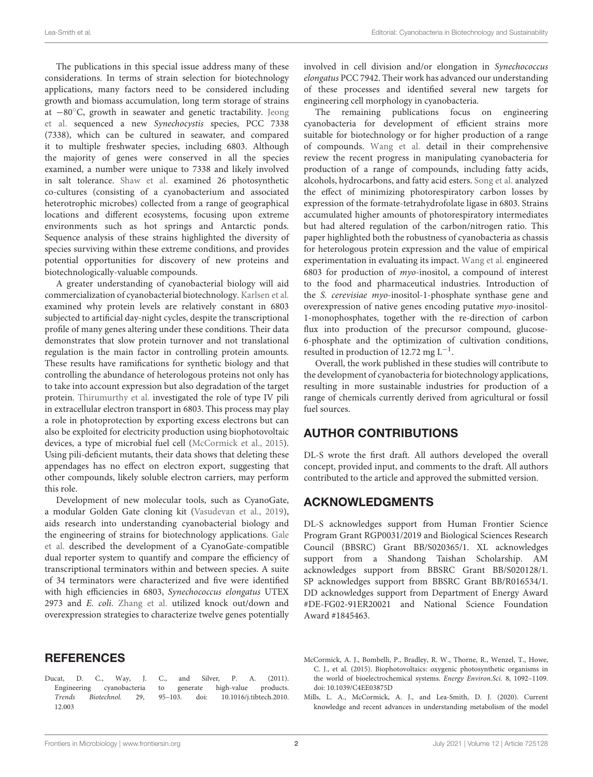The publications in this special issue address many of these considerations. In terms of strain selection for biotechnology applications, many factors need to be considered including growth and biomass accumulation, long term storage of strains at −80◦[C, growth in seawater and genetic tractability.](https://doi.org/10.3389/fmicb.2021.667450) Jeong et al. sequenced a new Synechocystis species, PCC 7338 (7338), which can be cultured in seawater, and compared it to multiple freshwater species, including 6803. Although the majority of genes were conserved in all the species examined, a number were unique to 7338 and likely involved in salt tolerance. [Shaw et al.](https://doi.org/10.3389/fmicb.2020.572131) examined 26 photosynthetic co-cultures (consisting of a cyanobacterium and associated heterotrophic microbes) collected from a range of geographical locations and different ecosystems, focusing upon extreme environments such as hot springs and Antarctic ponds. Sequence analysis of these strains highlighted the diversity of species surviving within these extreme conditions, and provides potential opportunities for discovery of new proteins and biotechnologically-valuable compounds.

A greater understanding of cyanobacterial biology will aid commercialization of cyanobacterial biotechnology. [Karlsen et al.](https://doi.org/10.3389/fmicb.2021.657379) examined why protein levels are relatively constant in 6803 subjected to artificial day-night cycles, despite the transcriptional profile of many genes altering under these conditions. Their data demonstrates that slow protein turnover and not translational regulation is the main factor in controlling protein amounts. These results have ramifications for synthetic biology and that controlling the abundance of heterologous proteins not only has to take into account expression but also degradation of the target protein. [Thirumurthy et al.](https://doi.org/10.3389/fmicb.2020.01344) investigated the role of type IV pili in extracellular electron transport in 6803. This process may play a role in photoprotection by exporting excess electrons but can also be exploited for electricity production using biophotovoltaic devices, a type of microbial fuel cell [\(McCormick et al., 2015\)](#page-1-2). Using pili-deficient mutants, their data shows that deleting these appendages has no effect on electron export, suggesting that other compounds, likely soluble electron carriers, may perform this role.

Development of new molecular tools, such as CyanoGate, a modular Golden Gate cloning kit [\(Vasudevan et al., 2019\)](#page-2-2), aids research into understanding cyanobacterial biology and [the engineering of strains for biotechnology applications.](https://doi.org/10.3389/fmicb.2020.624011) Gale et al. described the development of a CyanoGate-compatible dual reporter system to quantify and compare the efficiency of transcriptional terminators within and between species. A suite of 34 terminators were characterized and five were identified with high efficiencies in 6803, Synechococcus elongatus UTEX 2973 and E. coli. [Zhang et al.](https://doi.org/10.3389/fmicb.2020.01608) utilized knock out/down and overexpression strategies to characterize twelve genes potentially involved in cell division and/or elongation in Synechococcus elongatus PCC 7942. Their work has advanced our understanding of these processes and identified several new targets for engineering cell morphology in cyanobacteria.

The remaining publications focus on engineering cyanobacteria for development of efficient strains more suitable for biotechnology or for higher production of a range of compounds. [Wang et al.](https://doi.org/10.3389/fmicb.2020.00634) detail in their comprehensive review the recent progress in manipulating cyanobacteria for production of a range of compounds, including fatty acids, alcohols, hydrocarbons, and fatty acid esters. [Song et al.](https://doi.org/10.3389/fmicb.2020.01650) analyzed the effect of minimizing photorespiratory carbon losses by expression of the formate-tetrahydrofolate ligase in 6803. Strains accumulated higher amounts of photorespiratory intermediates but had altered regulation of the carbon/nitrogen ratio. This paper highlighted both the robustness of cyanobacteria as chassis for heterologous protein expression and the value of empirical experimentation in evaluating its impact. [Wang et al.](https://doi.org/10.3389/fmicb.2020.566117) engineered 6803 for production of myo-inositol, a compound of interest to the food and pharmaceutical industries. Introduction of the S. cerevisiae myo-inositol-1-phosphate synthase gene and overexpression of native genes encoding putative myo-inositol-1-monophosphates, together with the re-direction of carbon flux into production of the precursor compound, glucose-6-phosphate and the optimization of cultivation conditions, resulted in production of 12.72 mg L−<sup>1</sup> .

Overall, the work published in these studies will contribute to the development of cyanobacteria for biotechnology applications, resulting in more sustainable industries for production of a range of chemicals currently derived from agricultural or fossil fuel sources.

# AUTHOR CONTRIBUTIONS

DL-S wrote the first draft. All authors developed the overall concept, provided input, and comments to the draft. All authors contributed to the article and approved the submitted version.

## ACKNOWLEDGMENTS

DL-S acknowledges support from Human Frontier Science Program Grant RGP0031/2019 and Biological Sciences Research Council (BBSRC) Grant BB/S020365/1. XL acknowledges support from a Shandong Taishan Scholarship. AM acknowledges support from BBSRC Grant BB/S020128/1. SP acknowledges support from BBSRC Grant BB/R016534/1. DD acknowledges support from Department of Energy Award #DE-FG02-91ER20021 and National Science Foundation Award #1845463.

## **REFERENCES**

- <span id="page-1-0"></span>Ducat, D. C., Way, J. C., and Silver, P. A. (2011). Engineering cyanobacteria to generate high-value products. Trends Biotechnol. [29, 95–103. doi: 10.1016/j.tibtech.2010.](https://doi.org/10.1016/j.tibtech.2010.12.003) 12.003
- <span id="page-1-2"></span>McCormick, A. J., Bombelli, P., Bradley, R. W., Thorne, R., Wenzel, T., Howe, C. J., et al. (2015). Biophotovoltaics: oxygenic photosynthetic organisms in the world of bioelectrochemical systems. Energy Environ.Sci. 8, 1092–1109. doi: [10.1039/C4EE03875D](https://doi.org/10.1039/C4EE03875D)
- <span id="page-1-1"></span>Mills, L. A., McCormick, A. J., and Lea-Smith, D. J. (2020). Current knowledge and recent advances in understanding metabolism of the model